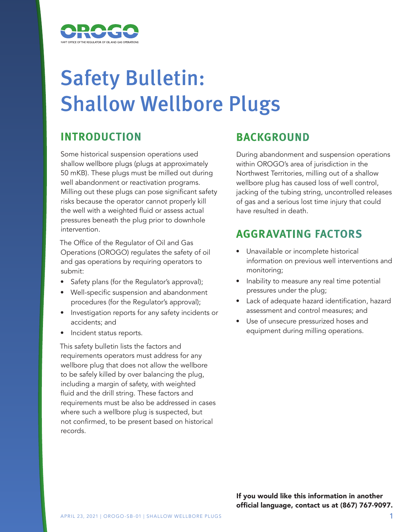

# Safety Bulletin: Shallow Wellbore Plugs

# **INTRODUCTION**

Some historical suspension operations used shallow wellbore plugs (plugs at approximately 50 mKB). These plugs must be milled out during well abandonment or reactivation programs. Milling out these plugs can pose significant safety risks because the operator cannot properly kill the well with a weighted fluid or assess actual pressures beneath the plug prior to downhole intervention.

The Office of the Regulator of Oil and Gas Operations (OROGO) regulates the safety of oil and gas operations by requiring operators to submit:

- Safety plans (for the Regulator's approval);
- Well-specific suspension and abandonment procedures (for the Regulator's approval);
- Investigation reports for any safety incidents or accidents; and
- Incident status reports.

This safety bulletin lists the factors and requirements operators must address for any wellbore plug that does not allow the wellbore to be safely killed by over balancing the plug, including a margin of safety, with weighted fluid and the drill string. These factors and requirements must be also be addressed in cases where such a wellbore plug is suspected, but not confirmed, to be present based on historical records.

## **BACKGROUND**

During abandonment and suspension operations within OROGO's area of jurisdiction in the Northwest Territories, milling out of a shallow wellbore plug has caused loss of well control, jacking of the tubing string, uncontrolled releases of gas and a serious lost time injury that could have resulted in death.

### **AGGRAVATING FACTORS**

- Unavailable or incomplete historical information on previous well interventions and monitoring;
- Inability to measure any real time potential pressures under the plug;
- Lack of adequate hazard identification, hazard assessment and control measures; and
- Use of unsecure pressurized hoses and equipment during milling operations.

If you would like this information in another official language, contact us at (867) 767-9097.